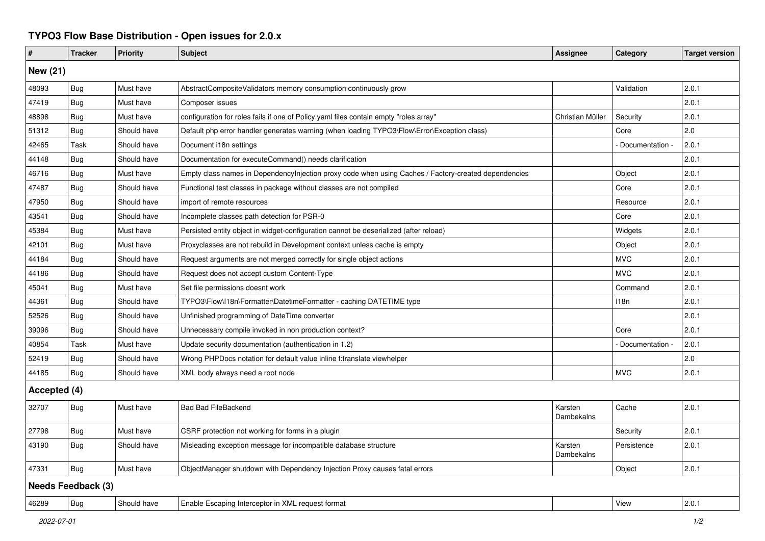## **TYPO3 Flow Base Distribution - Open issues for 2.0.x**

| $\pmb{\#}$                | <b>Tracker</b> | <b>Priority</b> | <b>Subject</b>                                                                                       | Assignee              | Category        | <b>Target version</b> |  |  |  |  |
|---------------------------|----------------|-----------------|------------------------------------------------------------------------------------------------------|-----------------------|-----------------|-----------------------|--|--|--|--|
| <b>New (21)</b>           |                |                 |                                                                                                      |                       |                 |                       |  |  |  |  |
| 48093                     | <b>Bug</b>     | Must have       | AbstractCompositeValidators memory consumption continuously grow                                     |                       | Validation      | 2.0.1                 |  |  |  |  |
| 47419                     | <b>Bug</b>     | Must have       | Composer issues                                                                                      |                       |                 | 2.0.1                 |  |  |  |  |
| 48898                     | <b>Bug</b>     | Must have       | configuration for roles fails if one of Policy.yaml files contain empty "roles array"                | Christian Müller      | Security        | 2.0.1                 |  |  |  |  |
| 51312                     | Bug            | Should have     | Default php error handler generates warning (when loading TYPO3\Flow\Error\Exception class)          |                       | Core            | 2.0                   |  |  |  |  |
| 42465                     | Task           | Should have     | Document i18n settings                                                                               |                       | Documentation   | 2.0.1                 |  |  |  |  |
| 44148                     | Bug            | Should have     | Documentation for executeCommand() needs clarification                                               |                       |                 | 2.0.1                 |  |  |  |  |
| 46716                     | Bug            | Must have       | Empty class names in Dependencylnjection proxy code when using Caches / Factory-created dependencies |                       | Object          | 2.0.1                 |  |  |  |  |
| 47487                     | Bug            | Should have     | Functional test classes in package without classes are not compiled                                  |                       | Core            | 2.0.1                 |  |  |  |  |
| 47950                     | Bug            | Should have     | import of remote resources                                                                           |                       | Resource        | 2.0.1                 |  |  |  |  |
| 43541                     | Bug            | Should have     | Incomplete classes path detection for PSR-0                                                          |                       | Core            | 2.0.1                 |  |  |  |  |
| 45384                     | Bug            | Must have       | Persisted entity object in widget-configuration cannot be deserialized (after reload)                |                       | Widgets         | 2.0.1                 |  |  |  |  |
| 42101                     | Bug            | Must have       | Proxyclasses are not rebuild in Development context unless cache is empty                            |                       | Object          | 2.0.1                 |  |  |  |  |
| 44184                     | Bug            | Should have     | Request arguments are not merged correctly for single object actions                                 |                       | <b>MVC</b>      | 2.0.1                 |  |  |  |  |
| 44186                     | <b>Bug</b>     | Should have     | Request does not accept custom Content-Type                                                          |                       | <b>MVC</b>      | 2.0.1                 |  |  |  |  |
| 45041                     | Bug            | Must have       | Set file permissions doesnt work                                                                     |                       | Command         | 2.0.1                 |  |  |  |  |
| 44361                     | <b>Bug</b>     | Should have     | TYPO3\Flow\I18n\Formatter\DatetimeFormatter - caching DATETIME type                                  |                       | 118n            | 2.0.1                 |  |  |  |  |
| 52526                     | <b>Bug</b>     | Should have     | Unfinished programming of DateTime converter                                                         |                       |                 | 2.0.1                 |  |  |  |  |
| 39096                     | Bug            | Should have     | Unnecessary compile invoked in non production context?                                               |                       | Core            | 2.0.1                 |  |  |  |  |
| 40854                     | Task           | Must have       | Update security documentation (authentication in 1.2)                                                |                       | Documentation - | 2.0.1                 |  |  |  |  |
| 52419                     | <b>Bug</b>     | Should have     | Wrong PHPDocs notation for default value inline f:translate viewhelper                               |                       |                 | 2.0                   |  |  |  |  |
| 44185                     | Bug            | Should have     | XML body always need a root node                                                                     |                       | <b>MVC</b>      | 2.0.1                 |  |  |  |  |
| Accepted (4)              |                |                 |                                                                                                      |                       |                 |                       |  |  |  |  |
| 32707                     | Bug            | Must have       | <b>Bad Bad FileBackend</b>                                                                           | Karsten<br>Dambekalns | Cache           | 2.0.1                 |  |  |  |  |
| 27798                     | <b>Bug</b>     | Must have       | CSRF protection not working for forms in a plugin                                                    |                       | Security        | 2.0.1                 |  |  |  |  |
| 43190                     | <b>Bug</b>     | Should have     | Misleading exception message for incompatible database structure                                     | Karsten<br>Dambekalns | Persistence     | 2.0.1                 |  |  |  |  |
| 47331                     | <b>Bug</b>     | Must have       | ObjectManager shutdown with Dependency Injection Proxy causes fatal errors                           |                       | Object          | 2.0.1                 |  |  |  |  |
| <b>Needs Feedback (3)</b> |                |                 |                                                                                                      |                       |                 |                       |  |  |  |  |
| 46289                     | Bug            | Should have     | Enable Escaping Interceptor in XML request format                                                    |                       | View            | 2.0.1                 |  |  |  |  |